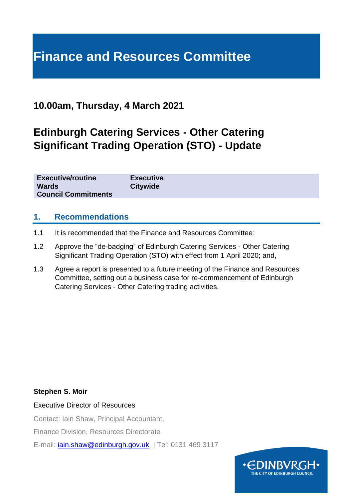# **Finance and Resources Committee**

## **10.00am, Thursday, 4 March 2021**

# **Edinburgh Catering Services - Other Catering Significant Trading Operation (STO) - Update**

| <b>Council Commitments</b> |
|----------------------------|
|----------------------------|

#### **1. Recommendations**

- 1.1 It is recommended that the Finance and Resources Committee:
- 1.2 Approve the "de-badging" of Edinburgh Catering Services Other Catering Significant Trading Operation (STO) with effect from 1 April 2020; and,
- 1.3 Agree a report is presented to a future meeting of the Finance and Resources Committee, setting out a business case for re-commencement of Edinburgh Catering Services - Other Catering trading activities.

#### **Stephen S. Moir**

Executive Director of Resources

Contact: Iain Shaw, Principal Accountant,

Finance Division, Resources Directorate

E-mail: *[iain.shaw@edinburgh.gov.uk](mailto:iain.shaw@edinburgh.gov.uk)* | Tel: 0131 469 3117

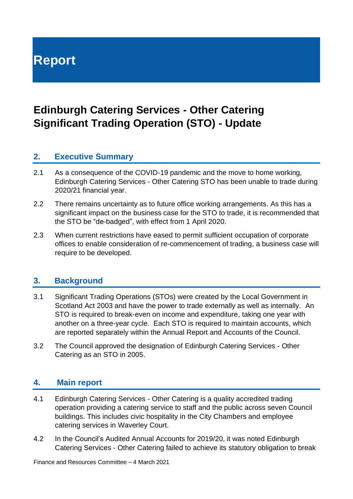**Report**

# **Edinburgh Catering Services - Other Catering Significant Trading Operation (STO) - Update**

### **2. Executive Summary**

- 2.1 As a consequence of the COVID-19 pandemic and the move to home working, Edinburgh Catering Services - Other Catering STO has been unable to trade during 2020/21 financial year.
- 2.2 There remains uncertainty as to future office working arrangements. As this has a significant impact on the business case for the STO to trade, it is recommended that the STO be "de-badged", with effect from 1 April 2020.
- 2.3 When current restrictions have eased to permit sufficient occupation of corporate offices to enable consideration of re-commencement of trading, a business case will require to be developed.

### **3. Background**

- 3.1 Significant Trading Operations (STOs) were created by the Local Government in Scotland Act 2003 and have the power to trade externally as well as internally. An STO is required to break-even on income and expenditure, taking one year with another on a three-year cycle. Each STO is required to maintain accounts, which are reported separately within the Annual Report and Accounts of the Council.
- 3.2 The Council approved the designation of Edinburgh Catering Services Other Catering as an STO in 2005.

### **4. Main report**

- 4.1 Edinburgh Catering Services Other Catering is a quality accredited trading operation providing a catering service to staff and the public across seven Council buildings. This includes civic hospitality in the City Chambers and employee catering services in Waverley Court.
- 4.2 In the Council's Audited Annual Accounts for 2019/20, it was noted Edinburgh Catering Services - Other Catering failed to achieve its statutory obligation to break

Finance and Resources Committee – 4 March 2021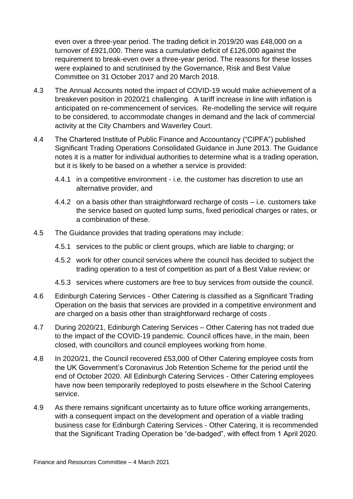even over a three-year period. The trading deficit in 2019/20 was £48,000 on a turnover of £921,000. There was a cumulative deficit of £126,000 against the requirement to break-even over a three-year period. The reasons for these losses were explained to and scrutinised by the Governance, Risk and Best Value Committee on 31 October 2017 and 20 March 2018.

- 4.3 The Annual Accounts noted the impact of COVID-19 would make achievement of a breakeven position in 2020/21 challenging. A tariff increase in line with inflation is anticipated on re-commencement of services. Re-modelling the service will require to be considered, to accommodate changes in demand and the lack of commercial activity at the City Chambers and Waverley Court.
- 4.4 The Chartered Institute of Public Finance and Accountancy ("CIPFA") published Significant Trading Operations Consolidated Guidance in June 2013. The Guidance notes it is a matter for individual authorities to determine what is a trading operation, but it is likely to be based on a whether a service is provided:
	- 4.4.1 in a competitive environment i.e. the customer has discretion to use an alternative provider, and
	- 4.4.2 on a basis other than straightforward recharge of costs i.e. customers take the service based on quoted lump sums, fixed periodical charges or rates, or a combination of these.
- 4.5 The Guidance provides that trading operations may include:
	- 4.5.1 services to the public or client groups, which are liable to charging; or
	- 4.5.2 work for other council services where the council has decided to subject the trading operation to a test of competition as part of a Best Value review; or
	- 4.5.3 services where customers are free to buy services from outside the council.
- 4.6 Edinburgh Catering Services Other Catering is classified as a Significant Trading Operation on the basis that services are provided in a competitive environment and are charged on a basis other than straightforward recharge of costs .
- 4.7 During 2020/21, Edinburgh Catering Services Other Catering has not traded due to the impact of the COVID-19 pandemic. Council offices have, in the main, been closed, with councillors and council employees working from home.
- 4.8 In 2020/21, the Council recovered £53,000 of Other Catering employee costs from the UK Government's Coronavirus Job Retention Scheme for the period until the end of October 2020. All Edinburgh Catering Services - Other Catering employees have now been temporarily redeployed to posts elsewhere in the School Catering service.
- 4.9 As there remains significant uncertainty as to future office working arrangements, with a consequent impact on the development and operation of a viable trading business case for Edinburgh Catering Services - Other Catering, it is recommended that the Significant Trading Operation be "de-badged", with effect from 1 April 2020.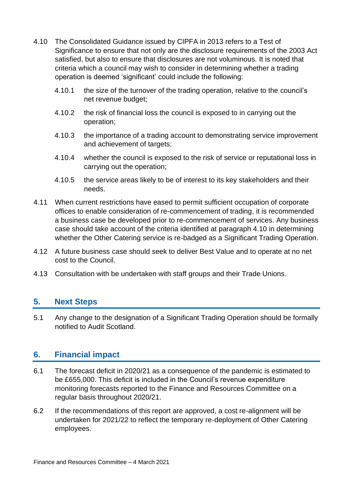- 4.10 The Consolidated Guidance issued by CIPFA in 2013 refers to a Test of Significance to ensure that not only are the disclosure requirements of the 2003 Act satisfied, but also to ensure that disclosures are not voluminous. It is noted that criteria which a council may wish to consider in determining whether a trading operation is deemed 'significant' could include the following:
	- 4.10.1 the size of the turnover of the trading operation, relative to the council's net revenue budget;
	- 4.10.2 the risk of financial loss the council is exposed to in carrying out the operation;
	- 4.10.3 the importance of a trading account to demonstrating service improvement and achievement of targets;
	- 4.10.4 whether the council is exposed to the risk of service or reputational loss in carrying out the operation;
	- 4.10.5 the service areas likely to be of interest to its key stakeholders and their needs.
- 4.11 When current restrictions have eased to permit sufficient occupation of corporate offices to enable consideration of re-commencement of trading, it is recommended a business case be developed prior to re-commencement of services. Any business case should take account of the criteria identified at paragraph 4.10 in determining whether the Other Catering service is re-badged as a Significant Trading Operation.
- 4.12 A future business case should seek to deliver Best Value and to operate at no net cost to the Council.
- 4.13 Consultation with be undertaken with staff groups and their Trade Unions.

### **5. Next Steps**

5.1 Any change to the designation of a Significant Trading Operation should be formally notified to Audit Scotland.

#### **6. Financial impact**

- 6.1 The forecast deficit in 2020/21 as a consequence of the pandemic is estimated to be £655,000. This deficit is included in the Council's revenue expenditure monitoring forecasts reported to the Finance and Resources Committee on a regular basis throughout 2020/21.
- 6.2 If the recommendations of this report are approved, a cost re-alignment will be undertaken for 2021/22 to reflect the temporary re-deployment of Other Catering employees.